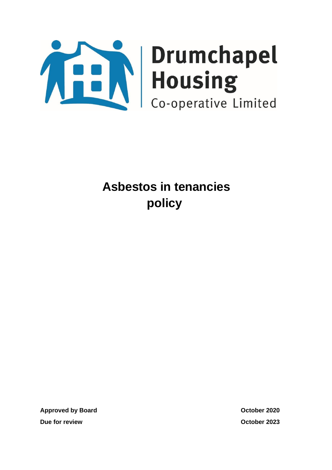

**Approved by Board COLOREGIST 2020 Due for review October 2023**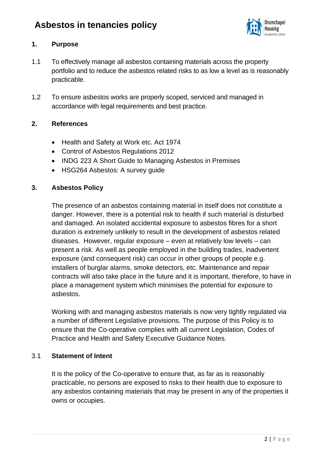

#### **1. Purpose**

- 1.1 To effectively manage all asbestos containing materials across the property portfolio and to reduce the asbestos related risks to as low a level as is reasonably practicable.
- 1.2 To ensure asbestos works are properly scoped, serviced and managed in accordance with legal requirements and best practice.

#### **2. References**

- Health and Safety at Work etc. Act 1974
- Control of Asbestos Regulations 2012
- INDG 223 A Short Guide to Managing Asbestos in Premises
- HSG264 Asbestos: A survey guide

#### **3. Asbestos Policy**

The presence of an asbestos containing material in itself does not constitute a danger. However, there is a potential risk to health if such material is disturbed and damaged. An isolated accidental exposure to asbestos fibres for a short duration is extremely unlikely to result in the development of asbestos related diseases. However, regular exposure – even at relatively low levels – can present a risk. As well as people employed in the building trades, inadvertent exposure (and consequent risk) can occur in other groups of people e.g. installers of burglar alarms, smoke detectors, etc. Maintenance and repair contracts will also take place in the future and it is important, therefore, to have in place a management system which minimises the potential for exposure to asbestos.

Working with and managing asbestos materials is now very tightly regulated via a number of different Legislative provisions. The purpose of this Policy is to ensure that the Co-operative complies with all current Legislation, Codes of Practice and Health and Safety Executive Guidance Notes.

#### 3.1 **Statement of Intent**

It is the policy of the Co-operative to ensure that, as far as is reasonably practicable, no persons are exposed to risks to their health due to exposure to any asbestos containing materials that may be present in any of the properties it owns or occupies.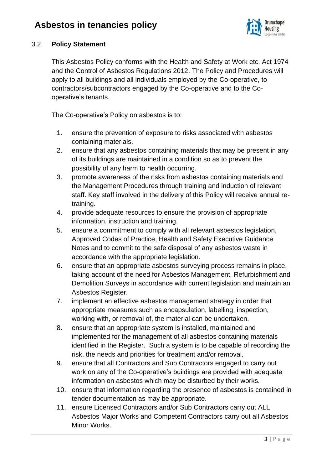

#### 3.2 **Policy Statement**

This Asbestos Policy conforms with the Health and Safety at Work etc. Act 1974 and the Control of Asbestos Regulations 2012. The Policy and Procedures will apply to all buildings and all individuals employed by the Co-operative, to contractors/subcontractors engaged by the Co-operative and to the Cooperative's tenants.

The Co-operative's Policy on asbestos is to:

- 1. ensure the prevention of exposure to risks associated with asbestos containing materials.
- 2. ensure that any asbestos containing materials that may be present in any of its buildings are maintained in a condition so as to prevent the possibility of any harm to health occurring.
- 3. promote awareness of the risks from asbestos containing materials and the Management Procedures through training and induction of relevant staff. Key staff involved in the delivery of this Policy will receive annual retraining.
- 4. provide adequate resources to ensure the provision of appropriate information, instruction and training.
- 5. ensure a commitment to comply with all relevant asbestos legislation, Approved Codes of Practice, Health and Safety Executive Guidance Notes and to commit to the safe disposal of any asbestos waste in accordance with the appropriate legislation.
- 6. ensure that an appropriate asbestos surveying process remains in place, taking account of the need for Asbestos Management, Refurbishment and Demolition Surveys in accordance with current legislation and maintain an Asbestos Register.
- 7. implement an effective asbestos management strategy in order that appropriate measures such as encapsulation, labelling, inspection, working with, or removal of, the material can be undertaken.
- 8. ensure that an appropriate system is installed, maintained and implemented for the management of all asbestos containing materials identified in the Register. Such a system is to be capable of recording the risk, the needs and priorities for treatment and/or removal.
- 9. ensure that all Contractors and Sub Contractors engaged to carry out work on any of the Co-operative's buildings are provided with adequate information on asbestos which may be disturbed by their works.
- 10. ensure that information regarding the presence of asbestos is contained in tender documentation as may be appropriate.
- 11. ensure Licensed Contractors and/or Sub Contractors carry out ALL Asbestos Major Works and Competent Contractors carry out all Asbestos Minor Works.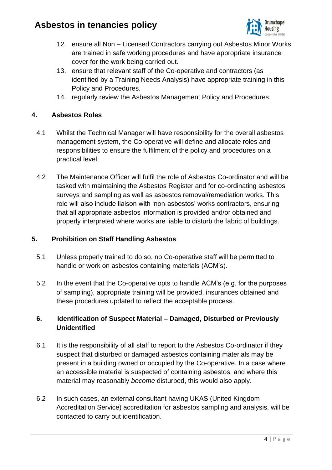

- 12. ensure all Non Licensed Contractors carrying out Asbestos Minor Works are trained in safe working procedures and have appropriate insurance cover for the work being carried out.
- 13. ensure that relevant staff of the Co-operative and contractors (as identified by a Training Needs Analysis) have appropriate training in this Policy and Procedures.
- 14. regularly review the Asbestos Management Policy and Procedures.

#### **4. Asbestos Roles**

- 4.1 Whilst the Technical Manager will have responsibility for the overall asbestos management system, the Co-operative will define and allocate roles and responsibilities to ensure the fulfilment of the policy and procedures on a practical level.
- 4.2 The Maintenance Officer will fulfil the role of Asbestos Co-ordinator and will be tasked with maintaining the Asbestos Register and for co-ordinating asbestos surveys and sampling as well as asbestos removal/remediation works. This role will also include liaison with 'non-asbestos' works contractors, ensuring that all appropriate asbestos information is provided and/or obtained and properly interpreted where works are liable to disturb the fabric of buildings.

#### **5. Prohibition on Staff Handling Asbestos**

- 5.1 Unless properly trained to do so, no Co-operative staff will be permitted to handle or work on asbestos containing materials (ACM's).
- 5.2 In the event that the Co-operative opts to handle ACM's (e.g. for the purposes of sampling), appropriate training will be provided, insurances obtained and these procedures updated to reflect the acceptable process.

### **6. Identification of Suspect Material – Damaged, Disturbed or Previously Unidentified**

- 6.1 It is the responsibility of all staff to report to the Asbestos Co-ordinator if they suspect that disturbed or damaged asbestos containing materials may be present in a building owned or occupied by the Co-operative. In a case where an accessible material is suspected of containing asbestos, and where this material may reasonably *become* disturbed, this would also apply.
- 6.2 In such cases, an external consultant having UKAS (United Kingdom Accreditation Service) accreditation for asbestos sampling and analysis, will be contacted to carry out identification.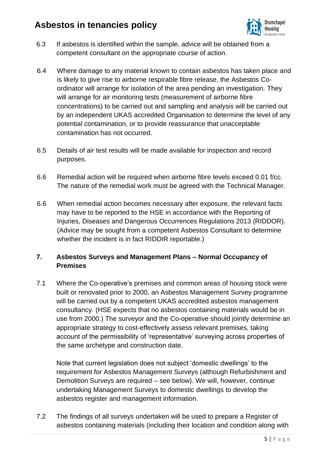

- 6.3 If asbestos is identified within the sample, advice will be obtained from a competent consultant on the appropriate course of action.
- 6.4 Where damage to any material known to contain asbestos has taken place and is likely to give rise to airborne respirable fibre release, the Asbestos Coordinator will arrange for isolation of the area pending an investigation. They will arrange for air monitoring tests (measurement of airborne fibre concentrations) to be carried out and sampling and analysis will be carried out by an independent UKAS accredited Organisation to determine the level of any potential contamination, or to provide reassurance that unacceptable contamination has not occurred.
- 6.5 Details of air test results will be made available for inspection and record purposes.
- 6.6 Remedial action will be required when airborne fibre levels exceed 0.01 f/cc. The nature of the remedial work must be agreed with the Technical Manager.
- 6.6 When remedial action becomes necessary after exposure, the relevant facts may have to be reported to the HSE in accordance with the Reporting of Injuries, Diseases and Dangerous Occurrences Regulations 2013 (RIDDOR). (Advice may be sought from a competent Asbestos Consultant to determine whether the incident is in fact RIDDIR reportable.)

#### **7. Asbestos Surveys and Management Plans – Normal Occupancy of Premises**

7.1 Where the Co-operative's premises and common areas of housing stock were built or renovated prior to 2000, an Asbestos Management Survey programme will be carried out by a competent UKAS accredited asbestos management consultancy. (HSE expects that no asbestos containing materials would be in use from 2000.) The surveyor and the Co-operative should jointly determine an appropriate strategy to cost-effectively assess relevant premises, taking account of the permissibility of 'representative' surveying across properties of the same archetype and construction date.

Note that current legislation does not subject 'domestic dwellings' to the requirement for Asbestos Management Surveys (although Refurbishment and Demolition Surveys are required – see below). We will, however, continue undertaking Management Surveys to domestic dwellings to develop the asbestos register and management information.

7.2 The findings of all surveys undertaken will be used to prepare a Register of asbestos containing materials (including their location and condition along with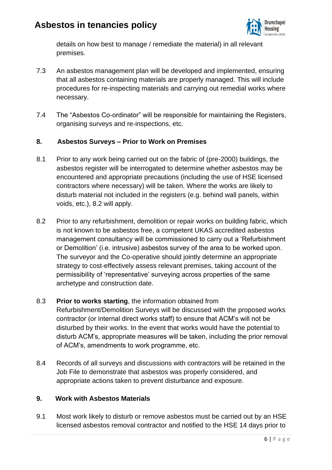

details on how best to manage / remediate the material) in all relevant premises.

- 7.3 An asbestos management plan will be developed and implemented, ensuring that all asbestos containing materials are properly managed. This will include procedures for re-inspecting materials and carrying out remedial works where necessary.
- 7.4 The "Asbestos Co-ordinator" will be responsible for maintaining the Registers, organising surveys and re-inspections, etc.

#### **8. Asbestos Surveys – Prior to Work on Premises**

- 8.1 Prior to any work being carried out on the fabric of (pre-2000) buildings, the asbestos register will be interrogated to determine whether asbestos may be encountered and appropriate precautions (including the use of HSE licensed contractors where necessary) will be taken. Where the works are likely to disturb material not included in the registers (e.g. behind wall panels, within voids, etc.), 8.2 will apply.
- 8.2 Prior to any refurbishment, demolition or repair works on building fabric, which is not known to be asbestos free, a competent UKAS accredited asbestos management consultancy will be commissioned to carry out a 'Refurbishment or Demolition' (i.e. intrusive) asbestos survey of the area to be worked upon. The surveyor and the Co-operative should jointly determine an appropriate strategy to cost-effectively assess relevant premises, taking account of the permissibility of 'representative' surveying across properties of the same archetype and construction date.
- 8.3 **Prior to works starting**, the information obtained from Refurbishment/Demolition Surveys will be discussed with the proposed works contractor (or internal direct works staff) to ensure that ACM's will not be disturbed by their works. In the event that works would have the potential to disturb ACM's, appropriate measures will be taken, including the prior removal of ACM's, amendments to work programme, etc.
- 8.4 Records of all surveys and discussions with contractors will be retained in the Job File to demonstrate that asbestos was properly considered, and appropriate actions taken to prevent disturbance and exposure.

#### **9. Work with Asbestos Materials**

9.1 Most work likely to disturb or remove asbestos must be carried out by an HSE licensed asbestos removal contractor and notified to the HSE 14 days prior to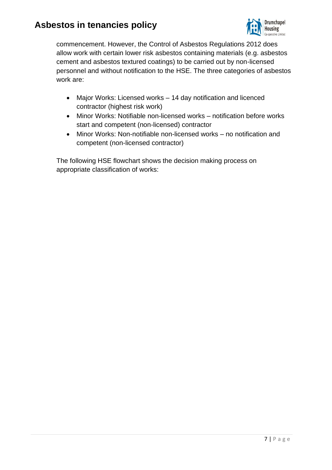

commencement. However, the Control of Asbestos Regulations 2012 does allow work with certain lower risk asbestos containing materials (e.g. asbestos cement and asbestos textured coatings) to be carried out by non-licensed personnel and without notification to the HSE. The three categories of asbestos work are:

- Major Works: Licensed works 14 day notification and licenced contractor (highest risk work)
- Minor Works: Notifiable non-licensed works notification before works start and competent (non-licensed) contractor
- Minor Works: Non-notifiable non-licensed works no notification and competent (non-licensed contractor)

The following HSE flowchart shows the decision making process on appropriate classification of works: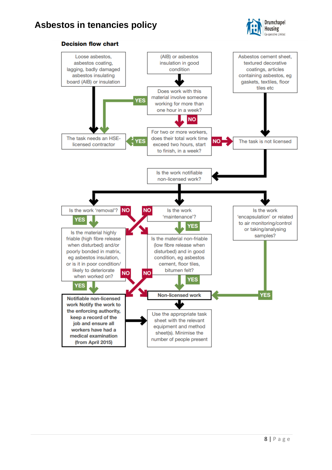

#### **Decision flow chart**

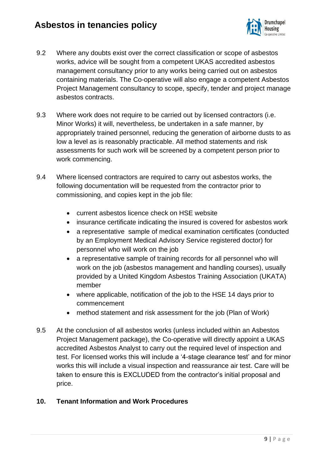

- 9.2 Where any doubts exist over the correct classification or scope of asbestos works, advice will be sought from a competent UKAS accredited asbestos management consultancy prior to any works being carried out on asbestos containing materials. The Co-operative will also engage a competent Asbestos Project Management consultancy to scope, specify, tender and project manage asbestos contracts.
- 9.3 Where work does not require to be carried out by licensed contractors (i.e. Minor Works) it will, nevertheless, be undertaken in a safe manner, by appropriately trained personnel, reducing the generation of airborne dusts to as low a level as is reasonably practicable. All method statements and risk assessments for such work will be screened by a competent person prior to work commencing.
- 9.4 Where licensed contractors are required to carry out asbestos works, the following documentation will be requested from the contractor prior to commissioning, and copies kept in the job file:
	- current asbestos licence check on HSE website
	- insurance certificate indicating the insured is covered for asbestos work
	- a representative sample of medical examination certificates (conducted by an Employment Medical Advisory Service registered doctor) for personnel who will work on the job
	- a representative sample of training records for all personnel who will work on the job (asbestos management and handling courses), usually provided by a United Kingdom Asbestos Training Association (UKATA) member
	- where applicable, notification of the job to the HSE 14 days prior to commencement
	- method statement and risk assessment for the job (Plan of Work)
- 9.5 At the conclusion of all asbestos works (unless included within an Asbestos Project Management package), the Co-operative will directly appoint a UKAS accredited Asbestos Analyst to carry out the required level of inspection and test. For licensed works this will include a '4-stage clearance test' and for minor works this will include a visual inspection and reassurance air test. Care will be taken to ensure this is EXCLUDED from the contractor's initial proposal and price.

#### **10. Tenant Information and Work Procedures**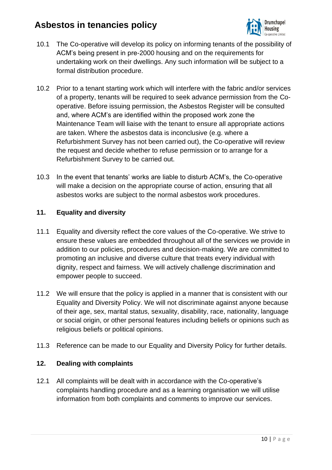

- 10.1 The Co-operative will develop its policy on informing tenants of the possibility of ACM's being present in pre-2000 housing and on the requirements for undertaking work on their dwellings. Any such information will be subject to a formal distribution procedure.
- 10.2 Prior to a tenant starting work which will interfere with the fabric and/or services of a property, tenants will be required to seek advance permission from the Cooperative. Before issuing permission, the Asbestos Register will be consulted and, where ACM's are identified within the proposed work zone the Maintenance Team will liaise with the tenant to ensure all appropriate actions are taken. Where the asbestos data is inconclusive (e.g. where a Refurbishment Survey has not been carried out), the Co-operative will review the request and decide whether to refuse permission or to arrange for a Refurbishment Survey to be carried out.
- 10.3 In the event that tenants' works are liable to disturb ACM's, the Co-operative will make a decision on the appropriate course of action, ensuring that all asbestos works are subject to the normal asbestos work procedures.

#### **11. Equality and diversity**

- 11.1 Equality and diversity reflect the core values of the Co-operative. We strive to ensure these values are embedded throughout all of the services we provide in addition to our policies, procedures and decision-making. We are committed to promoting an inclusive and diverse culture that treats every individual with dignity, respect and fairness. We will actively challenge discrimination and empower people to succeed.
- 11.2 We will ensure that the policy is applied in a manner that is consistent with our Equality and Diversity Policy. We will not discriminate against anyone because of their age, sex, marital status, sexuality, disability, race, nationality, language or social origin, or other personal features including beliefs or opinions such as religious beliefs or political opinions.
- 11.3 Reference can be made to our Equality and Diversity Policy for further details.

#### **12. Dealing with complaints**

12.1 All complaints will be dealt with in accordance with the Co-operative's complaints handling procedure and as a learning organisation we will utilise information from both complaints and comments to improve our services.